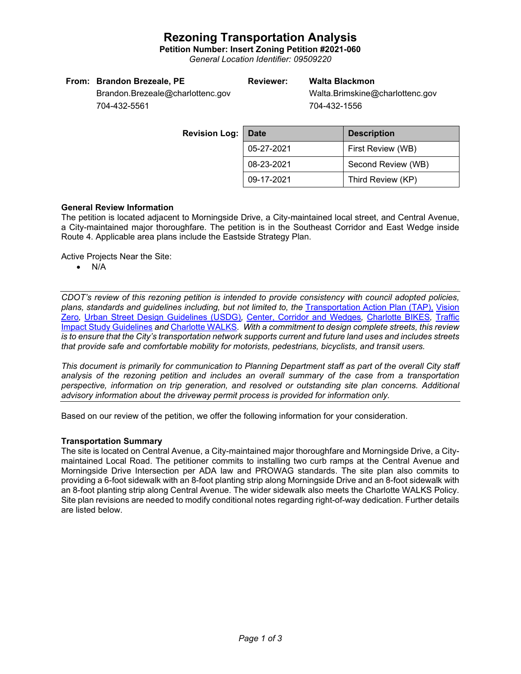## **Rezoning Transportation Analysis**

**Petition Number: Insert Zoning Petition #2021-060**

*General Location Identifier: 09509220*

| From: Brandon Brezeale, PE<br><b>Reviewer:</b> |  | Walta Blackmon                  |  |
|------------------------------------------------|--|---------------------------------|--|
| Brandon.Brezeale@charlottenc.gov               |  | Walta.Brimskine@charlottenc.gov |  |
| 704-432-5561                                   |  | 704-432-1556                    |  |

**Revision Log:** Date **Description** 05-27-2021 First Review (WB) 08-23-2021 Second Review (WB) 09-17-2021 Third Review (KP)

### **General Review Information**

The petition is located adjacent to Morningside Drive, a City-maintained local street, and Central Avenue, a City-maintained major thoroughfare. The petition is in the Southeast Corridor and East Wedge inside Route 4. Applicable area plans include the Eastside Strategy Plan.

Active Projects Near the Site:

• N/A

*CDOT's review of this rezoning petition is intended to provide consistency with council adopted policies, plans, standards and guidelines including, but not limited to, the* [Transportation Action Plan \(TAP\),](https://charlottenc.gov/Transportation/Programs/Pages/TransportationActionPlan.aspx) [Vision](https://charlottenc.gov/VisionZero/Pages/VisionZero.aspx)  [Zero](https://charlottenc.gov/VisionZero/Pages/VisionZero.aspx)*,* [Urban Street Design Guidelines \(USDG\)](https://charlottenc.gov/Transportation/PlansProjects/Documents/USDG%20Full%20Document.pdf)*,* [Center, Corridor and Wedges](http://ww.charmeck.org/Planning/Land%20Use%20Planning/CentersCorridorsWedges/CentersCorridorsWedges(Adopted).pdf)*,* [Charlotte BIKES](https://charlottenc.gov/Transportation/Programs/Pages/Bicycle.aspx)*,* [Traffic](https://charlottenc.gov/Transportation/Permits/Documents/TISProcessandGuildlines.pdf)  [Impact Study Guidelines](https://charlottenc.gov/Transportation/Permits/Documents/TISProcessandGuildlines.pdf) *and* [Charlotte WALKS](https://charlottenc.gov/Transportation/Programs/Pages/CharlotteWalks.aspx)*. With a commitment to design complete streets, this review is to ensure that the City's transportation network supports current and future land uses and includes streets that provide safe and comfortable mobility for motorists, pedestrians, bicyclists, and transit users.*

*This document is primarily for communication to Planning Department staff as part of the overall City staff analysis of the rezoning petition and includes an overall summary of the case from a transportation perspective, information on trip generation, and resolved or outstanding site plan concerns. Additional advisory information about the driveway permit process is provided for information only.*

Based on our review of the petition, we offer the following information for your consideration.

### **Transportation Summary**

The site is located on Central Avenue, a City-maintained major thoroughfare and Morningside Drive, a Citymaintained Local Road. The petitioner commits to installing two curb ramps at the Central Avenue and Morningside Drive Intersection per ADA law and PROWAG standards. The site plan also commits to providing a 6-foot sidewalk with an 8-foot planting strip along Morningside Drive and an 8-foot sidewalk with an 8-foot planting strip along Central Avenue. The wider sidewalk also meets the Charlotte WALKS Policy. Site plan revisions are needed to modify conditional notes regarding right-of-way dedication. Further details are listed below.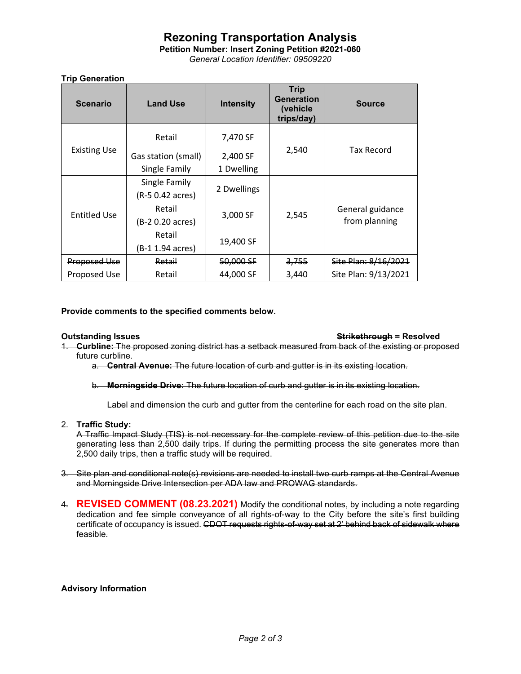# **Rezoning Transportation Analysis**

**Petition Number: Insert Zoning Petition #2021-060** *General Location Identifier: 09509220*

### **Trip Generation**

| <b>Scenario</b>     | <b>Land Use</b>     | <b>Intensity</b> | <b>Trip</b><br><b>Generation</b><br>(vehicle<br>trips/day) | <b>Source</b>                     |
|---------------------|---------------------|------------------|------------------------------------------------------------|-----------------------------------|
|                     | Retail              | 7,470 SF         | 2,540                                                      | <b>Tax Record</b>                 |
| <b>Existing Use</b> | Gas station (small) | 2,400 SF         |                                                            |                                   |
|                     | Single Family       | 1 Dwelling       |                                                            |                                   |
|                     | Single Family       | 2 Dwellings      | 2,545                                                      | General guidance<br>from planning |
|                     | (R-5 0.42 acres)    |                  |                                                            |                                   |
| <b>Entitled Use</b> | Retail              | 3,000 SF         |                                                            |                                   |
|                     | (B-2 0.20 acres)    |                  |                                                            |                                   |
|                     | Retail              | 19,400 SF        |                                                            |                                   |
|                     | (B-1 1.94 acres)    |                  |                                                            |                                   |
| Proposed Use        | Retail              | 50,000 SF        | <del>3,755</del>                                           | Site Plan: 8/16/2021              |
| Proposed Use        | Retail              | 44,000 SF        | 3,440                                                      | Site Plan: 9/13/2021              |

**Provide comments to the specified comments below.** 

### **Outstanding Issues Strikethrough = Resolved**

1. **Curbline:** The proposed zoning district has a setback measured from back of the existing or proposed future curbline.

a. **Central Avenue:** The future location of curb and gutter is in its existing location.

b. **Morningside Drive:** The future location of curb and gutter is in its existing location.

Label and dimension the curb and gutter from the centerline for each road on the site plan.

2. **Traffic Study:** 

A Traffic Impact Study (TIS) is not necessary for the complete review of this petition due to the site generating less than 2,500 daily trips. If during the permitting process the site generates more than 2,500 daily trips, then a traffic study will be required.

- 3. Site plan and conditional note(s) revisions are needed to install two curb ramps at the Central Avenue and Morningside Drive Intersection per ADA law and PROWAG standards.
- 4. **REVISED COMMENT (08.23.2021)** Modify the conditional notes, by including a note regarding dedication and fee simple conveyance of all rights-of-way to the City before the site's first building certificate of occupancy is issued. CDOT requests rights-of-way set at 2' behind back of sidewalk where feasible.

### **Advisory Information**